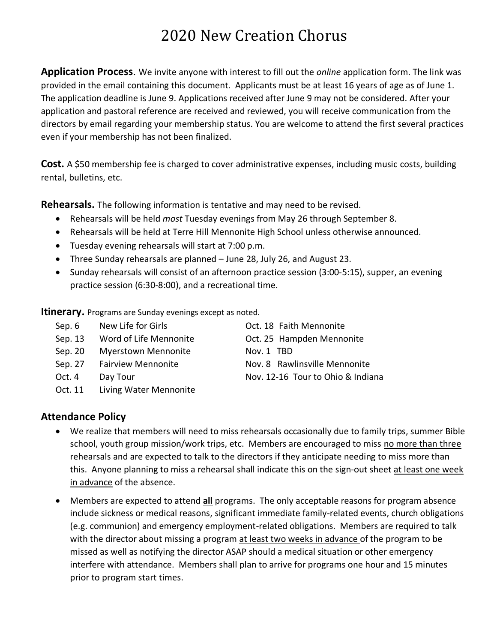## 2020 New Creation Chorus

**Application Process**. We invite anyone with interest to fill out the *online* application form. The link was provided in the email containing this document. Applicants must be at least 16 years of age as of June 1. The application deadline is June 9. Applications received after June 9 may not be considered. After your application and pastoral reference are received and reviewed, you will receive communication from the directors by email regarding your membership status. You are welcome to attend the first several practices even if your membership has not been finalized.

**Cost.** A \$50 membership fee is charged to cover administrative expenses, including music costs, building rental, bulletins, etc.

**Rehearsals.** The following information is tentative and may need to be revised.

- Rehearsals will be held *most* Tuesday evenings from May 26 through September 8.
- Rehearsals will be held at Terre Hill Mennonite High School unless otherwise announced.
- Tuesday evening rehearsals will start at 7:00 p.m.
- Three Sunday rehearsals are planned June 28, July 26, and August 23.
- Sunday rehearsals will consist of an afternoon practice session (3:00-5:15), supper, an evening practice session (6:30-8:00), and a recreational time.

**Itinerary.** Programs are Sunday evenings except as noted.

- Sep. 6 New Life for Girls Contract Control Control Control Nennonite
- Sep. 13 Word of Life Mennonite **Case Contract** Cot. 25 Hampden Mennonite
- Sep. 20 Myerstown Mennonite Nov. 1 TBD
- 
- 
- Oct. 11 Living Water Mennonite

**Attendance Policy**

- We realize that members will need to miss rehearsals occasionally due to family trips, summer Bible school, youth group mission/work trips, etc. Members are encouraged to miss no more than three rehearsals and are expected to talk to the directors if they anticipate needing to miss more than this. Anyone planning to miss a rehearsal shall indicate this on the sign-out sheet at least one week in advance of the absence.
- Members are expected to attend **all** programs. The only acceptable reasons for program absence include sickness or medical reasons, significant immediate family-related events, church obligations (e.g. communion) and emergency employment-related obligations. Members are required to talk with the director about missing a program at least two weeks in advance of the program to be missed as well as notifying the director ASAP should a medical situation or other emergency interfere with attendance. Members shall plan to arrive for programs one hour and 15 minutes prior to program start times.

Sep. 27 Fairview Mennonite Nov. 8 Rawlinsville Mennonite Oct. 4 Day Tour Nov. 12-16 Tour to Ohio & Indiana